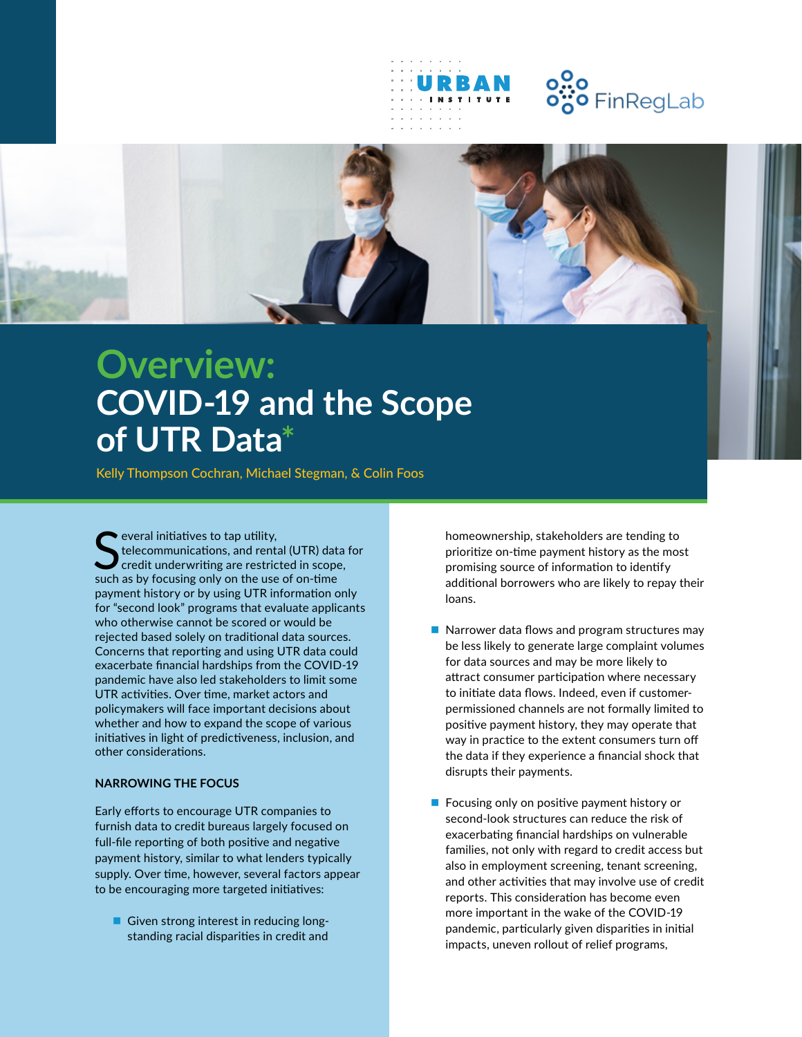

## o<mark>..o</mark><br>o"o FinRegLab



## **Overview: COVID-19 and the Scope of UTR Data\***

Kelly Thompson Cochran, Michael Stegman, & Colin Foos

Several initiatives to tap utility,<br>
Stelecommunications, and rental (UTR) data<br>
such as by focusing only on the use of on-time everal initiatives to tap utility, telecommunications, and rental (UTR) data for credit underwriting are restricted in scope, payment history or by using UTR information only for "second look" programs that evaluate applicants who otherwise cannot be scored or would be rejected based solely on traditional data sources. Concerns that reporting and using UTR data could exacerbate financial hardships from the COVID-19 pandemic have also led stakeholders to limit some UTR activities. Over time, market actors and policymakers will face important decisions about whether and how to expand the scope of various initiatives in light of predictiveness, inclusion, and other considerations.

## **NARROWING THE FOCUS**

Early efforts to encourage UTR companies to furnish data to credit bureaus largely focused on full-file reporting of both positive and negative payment history, similar to what lenders typically supply. Over time, however, several factors appear to be encouraging more targeted initiatives:

Given strong interest in reducing longstanding racial disparities in credit and

homeownership, stakeholders are tending to prioritize on-time payment history as the most promising source of information to identify additional borrowers who are likely to repay their loans.

- Narrower data flows and program structures may be less likely to generate large complaint volumes for data sources and may be more likely to attract consumer participation where necessary to initiate data flows. Indeed, even if customerpermissioned channels are not formally limited to positive payment history, they may operate that way in practice to the extent consumers turn off the data if they experience a financial shock that disrupts their payments.
- $\blacksquare$  Focusing only on positive payment history or second-look structures can reduce the risk of exacerbating financial hardships on vulnerable families, not only with regard to credit access but also in employment screening, tenant screening, and other activities that may involve use of credit reports. This consideration has become even more important in the wake of the COVID-19 pandemic, particularly given disparities in initial impacts, uneven rollout of relief programs,